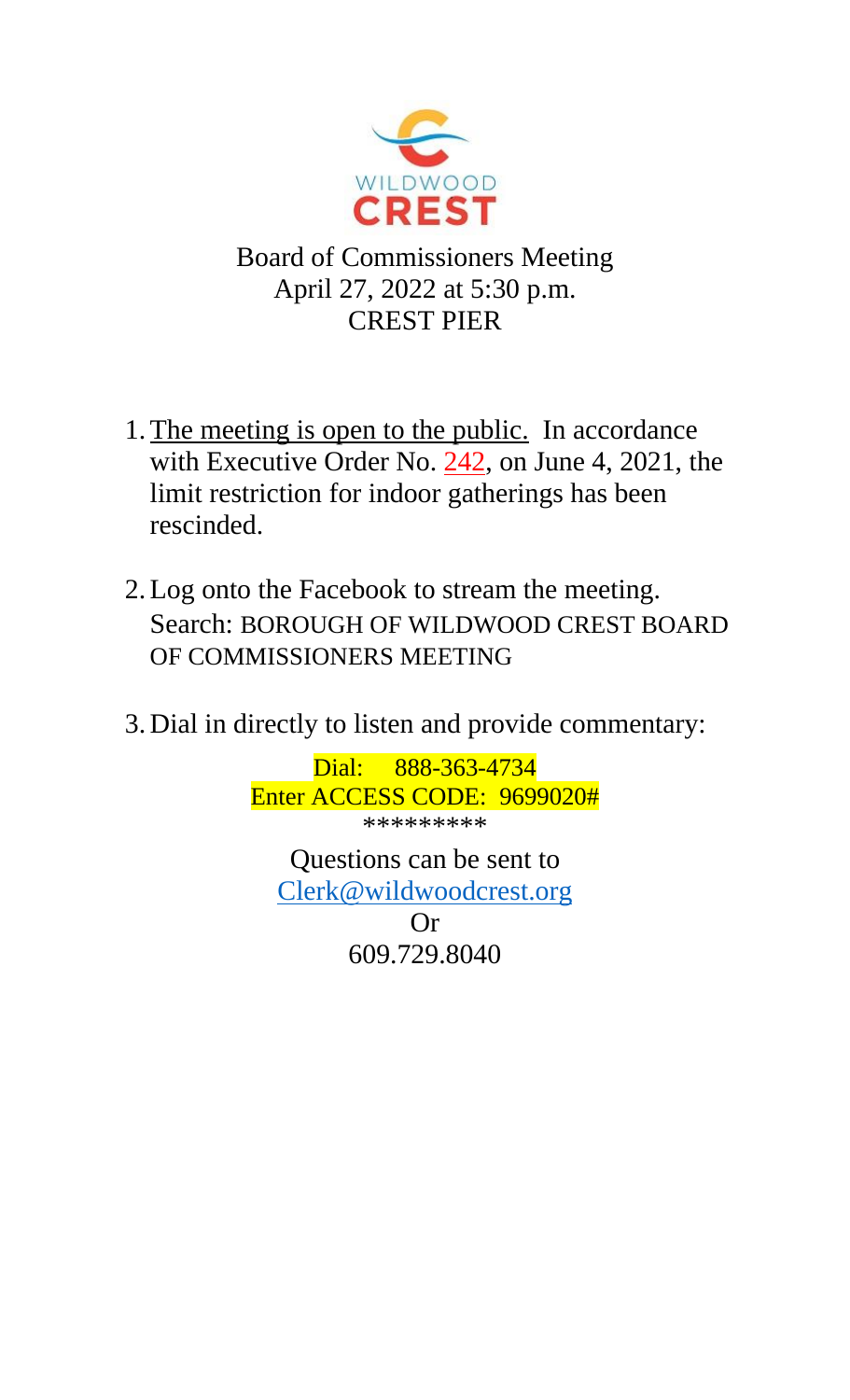

Board of Commissioners Meeting April 27, 2022 at 5:30 p.m. CREST PIER

- 1. The meeting is open to the public. In accordance with Executive Order No. 242, on June 4, 2021, the limit restriction for indoor gatherings has been rescinded.
- 2.Log onto the Facebook to stream the meeting. Search: BOROUGH OF WILDWOOD CREST BOARD OF COMMISSIONERS MEETING
- 3. Dial in directly to listen and provide commentary:

Dial: 888-363-4734 Enter ACCESS CODE: 9699020# \*\*\*\*\*\*\*\*\* Questions can be sent to [Clerk@wildwoodcrest.org](mailto:Clerk@wildwoodcrest.org) Or

609.729.8040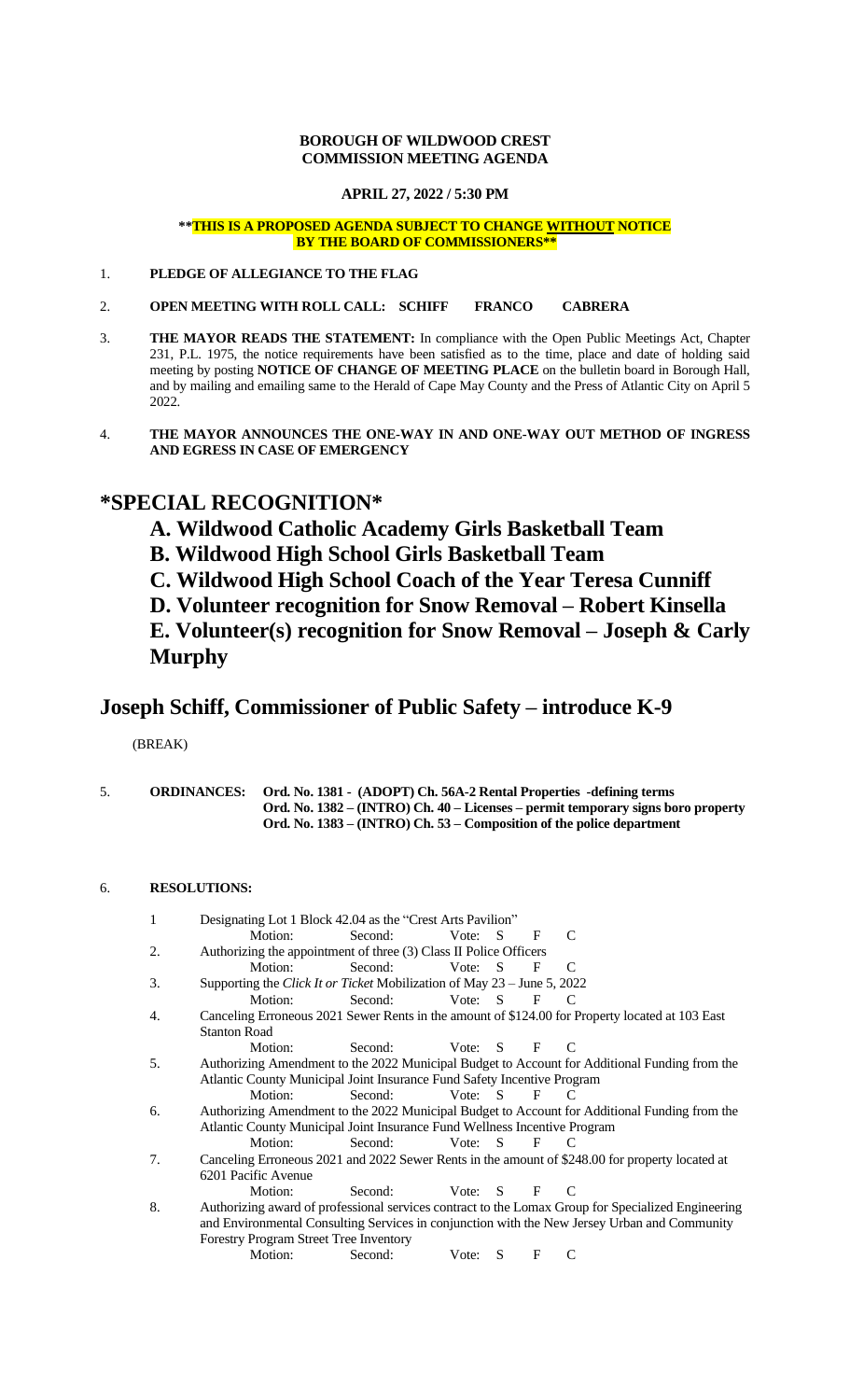### **BOROUGH OF WILDWOOD CREST COMMISSION MEETING AGENDA**

**APRIL 27, 2022 / 5:30 PM**

### **\*\*THIS IS A PROPOSED AGENDA SUBJECT TO CHANGE WITHOUT NOTICE BY THE BOARD OF COMMISSIONERS\*\***

- 1. **PLEDGE OF ALLEGIANCE TO THE FLAG**
- 2. **OPEN MEETING WITH ROLL CALL: SCHIFF FRANCO CABRERA**
- 3. **THE MAYOR READS THE STATEMENT:** In compliance with the Open Public Meetings Act, Chapter 231, P.L. 1975, the notice requirements have been satisfied as to the time, place and date of holding said meeting by posting **NOTICE OF CHANGE OF MEETING PLACE** on the bulletin board in Borough Hall, and by mailing and emailing same to the Herald of Cape May County and the Press of Atlantic City on April 5 2022.
- 4. **THE MAYOR ANNOUNCES THE ONE-WAY IN AND ONE-WAY OUT METHOD OF INGRESS AND EGRESS IN CASE OF EMERGENCY**

# **\*SPECIAL RECOGNITION\***

## **A. Wildwood Catholic Academy Girls Basketball Team**

- **B. Wildwood High School Girls Basketball Team**
- **C. Wildwood High School Coach of the Year Teresa Cunniff**
- **D. Volunteer recognition for Snow Removal – Robert Kinsella**

**E. Volunteer(s) recognition for Snow Removal – Joseph & Carly Murphy**

# **Joseph Schiff, Commissioner of Public Safety – introduce K-9**

(BREAK)

|  | <b>ORDINANCES:</b> Ord. No. 1381 - (ADOPT) Ch. 56A-2 Rental Properties -defining terms |
|--|----------------------------------------------------------------------------------------|
|  | Ord. No. 1382 – (INTRO) Ch. 40 – Licenses – permit temporary signs boro property       |
|  | Ord. No. 1383 – (INTRO) Ch. 53 – Composition of the police department                  |

## 6. **RESOLUTIONS:**

| 1  | Designating Lot 1 Block 42.04 as the "Crest Arts Pavilion"                                         |         |                   |  |              |                |  |  |  |
|----|----------------------------------------------------------------------------------------------------|---------|-------------------|--|--------------|----------------|--|--|--|
|    | Motion:                                                                                            | Second: | Vote: S           |  | F            | C              |  |  |  |
| 2. | Authorizing the appointment of three (3) Class II Police Officers                                  |         |                   |  |              |                |  |  |  |
|    | Motion:                                                                                            | Second: | Vote: S           |  | F            | $\mathcal{C}$  |  |  |  |
| 3. | Supporting the Click It or Ticket Mobilization of May 23 – June 5, 2022                            |         |                   |  |              |                |  |  |  |
|    | Motion:                                                                                            | Second: | Vote: $S$ $F$ $C$ |  |              |                |  |  |  |
| 4. | Canceling Erroneous 2021 Sewer Rents in the amount of \$124.00 for Property located at 103 East    |         |                   |  |              |                |  |  |  |
|    | <b>Stanton Road</b>                                                                                |         |                   |  |              |                |  |  |  |
|    | Motion:                                                                                            | Second: | Vote: $S$ F       |  |              | $\overline{C}$ |  |  |  |
| 5. | Authorizing Amendment to the 2022 Municipal Budget to Account for Additional Funding from the      |         |                   |  |              |                |  |  |  |
|    | Atlantic County Municipal Joint Insurance Fund Safety Incentive Program                            |         |                   |  |              |                |  |  |  |
|    | Motion:                                                                                            | Second: | Vote: $S$ F       |  |              | $\overline{C}$ |  |  |  |
| 6. | Authorizing Amendment to the 2022 Municipal Budget to Account for Additional Funding from the      |         |                   |  |              |                |  |  |  |
|    | Atlantic County Municipal Joint Insurance Fund Wellness Incentive Program                          |         |                   |  |              |                |  |  |  |
|    | Motion:                                                                                            | Second: | Vote: $S$         |  | $\mathbf{F}$ | $\overline{C}$ |  |  |  |
| 7. | Canceling Erroneous 2021 and 2022 Sewer Rents in the amount of \$248.00 for property located at    |         |                   |  |              |                |  |  |  |
|    | 6201 Pacific Avenue                                                                                |         |                   |  |              |                |  |  |  |
|    | Motion:                                                                                            | Second: | Vote: S F         |  |              | $\mathcal{C}$  |  |  |  |
| 8. | Authorizing award of professional services contract to the Lomax Group for Specialized Engineering |         |                   |  |              |                |  |  |  |
|    | and Environmental Consulting Services in conjunction with the New Jersey Urban and Community       |         |                   |  |              |                |  |  |  |
|    | <b>Forestry Program Street Tree Inventory</b>                                                      |         |                   |  |              |                |  |  |  |
|    | Motion:                                                                                            | Second: | Vote: $S$ F       |  |              |                |  |  |  |